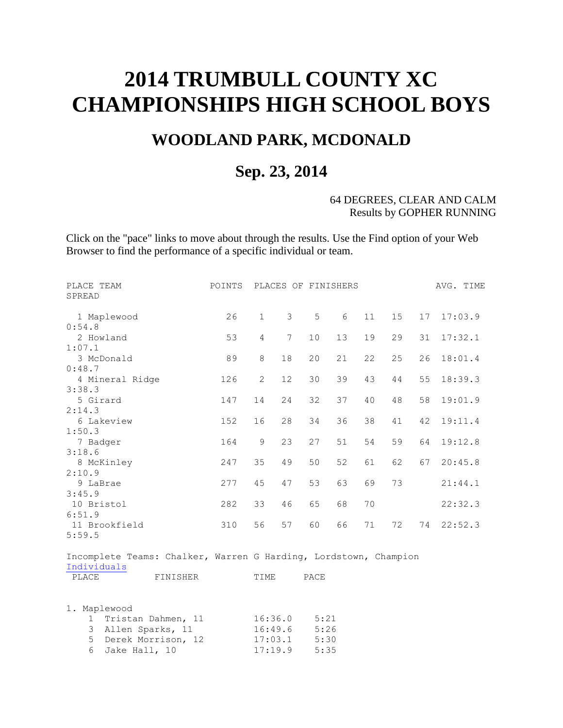# **2014 TRUMBULL COUNTY XC CHAMPIONSHIPS HIGH SCHOOL BOYS**

## **WOODLAND PARK, MCDONALD**

### **Sep. 23, 2014**

#### 64 DEGREES, CLEAR AND CALM Results by GOPHER RUNNING

Click on the "pace" links to move about through the results. Use the Find option of your Web Browser to find the performance of a specific individual or team.

| PLACE TEAM<br>SPREAD                                             |          | POINTS |                       |                |      | PLACES OF FINISHERS |    |    |    | AVG. TIME |
|------------------------------------------------------------------|----------|--------|-----------------------|----------------|------|---------------------|----|----|----|-----------|
| 1 Maplewood                                                      |          | 26     | $\mathbf{1}$          | 3              | 5    | 6                   | 11 | 15 | 17 | 17:03.9   |
| 0:54.8                                                           |          |        |                       |                |      |                     |    |    |    |           |
| 2 Howland                                                        |          | 53     | $\overline{4}$        | $\overline{7}$ | 10   | 13                  | 19 | 29 | 31 | 17:32.1   |
| 1:07.1                                                           |          |        |                       |                |      |                     |    |    |    |           |
| 3 McDonald                                                       |          | 89     | 8                     | 18             | 20   | 21                  | 22 | 25 | 26 | 18:01.4   |
| 0:48.7                                                           |          |        |                       |                |      |                     |    |    |    |           |
| 4 Mineral Ridge                                                  |          | 126    | $\mathbf{2}^{\prime}$ | 12             | 30   | 39                  | 43 | 44 | 55 | 18:39.3   |
| 3:38.3                                                           |          |        |                       |                |      |                     |    |    |    |           |
| 5 Girard                                                         |          | 147    | 14                    | 24             | 32   | 37                  | 40 | 48 | 58 | 19:01.9   |
| 2:14.3                                                           |          |        |                       |                |      |                     |    |    |    |           |
| 6 Lakeview                                                       |          | 152    | 16                    | 28             | 34   | 36                  | 38 | 41 | 42 | 19:11.4   |
| 1:50.3                                                           |          |        |                       |                |      |                     |    |    |    |           |
| 7 Badger                                                         |          | 164    | 9                     | 23             | 27   | 51                  | 54 | 59 | 64 | 19:12.8   |
| 3:18.6                                                           |          |        |                       |                |      |                     |    |    |    |           |
| 8 McKinley                                                       |          | 247    | 35                    | 49             | 50   | 52                  | 61 | 62 | 67 | 20:45.8   |
| 2:10.9                                                           |          |        |                       |                |      |                     |    |    |    |           |
| 9 LaBrae                                                         |          | 277    | 45                    | 47             | 53   | 63                  | 69 | 73 |    | 21:44.1   |
| 3:45.9                                                           |          |        |                       |                |      |                     |    |    |    |           |
| 10 Bristol<br>6:51.9                                             |          | 282    | 33                    | 46             | 65   | 68                  | 70 |    |    | 22:32.3   |
| 11 Brookfield                                                    |          | 310    | 56                    | 57             | 60   | 66                  | 71 | 72 | 74 | 22:52.3   |
| 5:59.5                                                           |          |        |                       |                |      |                     |    |    |    |           |
|                                                                  |          |        |                       |                |      |                     |    |    |    |           |
| Incomplete Teams: Chalker, Warren G Harding, Lordstown, Champion |          |        |                       |                |      |                     |    |    |    |           |
| Individuals                                                      |          |        |                       |                |      |                     |    |    |    |           |
| PLACE                                                            | FINISHER |        | TIME                  |                | PACE |                     |    |    |    |           |

|  | 1. Maplewood         |         |      |
|--|----------------------|---------|------|
|  | 1 Tristan Dahmen, 11 | 16:36.0 | 5:21 |
|  | 3 Allen Sparks, 11   | 16:49.6 | 5:26 |
|  | 5 Derek Morrison, 12 | 17:03.1 | 5:30 |
|  | 6 Jake Hall, 10      | 17:19.9 | 5:35 |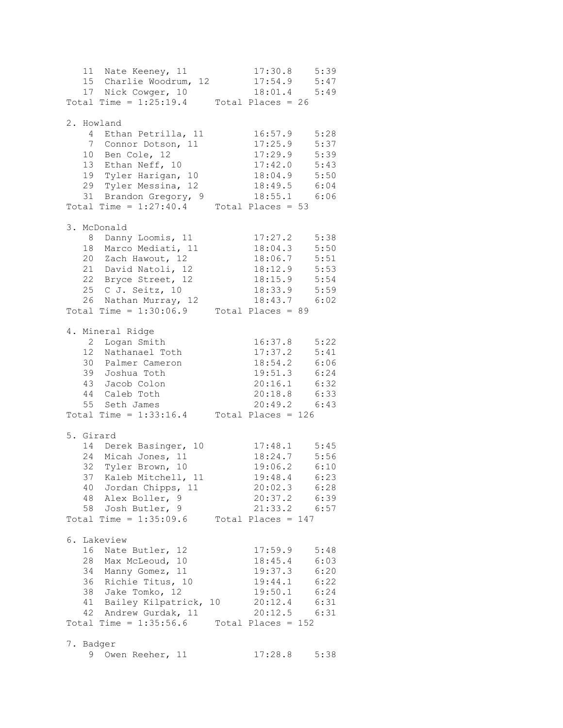|  | 11 Nate Keeney, 11                          |    |                     | $17:30.8$ 5:39   |
|--|---------------------------------------------|----|---------------------|------------------|
|  | 15 Charlie Woodrum, 12                      |    | $17:54.9$ $5:47$    |                  |
|  | 17 Nick Cowger, 10                          |    |                     | 18:01.4 5:49     |
|  | Total Time = $1:25:19.4$ Total Places = 26  |    |                     |                  |
|  |                                             |    |                     |                  |
|  | 2. Howland                                  |    |                     |                  |
|  | 4 Ethan Petrilla, 11                        |    | 16:57.9             | 5:28             |
|  | 7 Connor Dotson, 11                         |    | 17:25.9             | 5:37             |
|  |                                             |    | 17:29.9             | 5:39             |
|  | 10 Ben Cole, 12<br>13 Ethan Neff, 10        |    | 17:42.0             | 5:43             |
|  | 19 Tyler Harigan, 10                        |    | $18:04.9$ $5:50$    |                  |
|  | 29 Tyler Messina, 12                        |    |                     | 18:49.5 6:04     |
|  | 31 Brandon Gregory, 9                       |    |                     | 18:55.1 6:06     |
|  |                                             |    |                     |                  |
|  | Total Time = $1:27:40.4$ Total Places = 53  |    |                     |                  |
|  | 3. McDonald                                 |    |                     |                  |
|  | 8 Danny Loomis, 11                          |    | 17:27.2             | 5:38             |
|  | 18 Marco Mediati, 11                        |    | 18:04.3             | 5:50             |
|  | 20 Zach Hawout, 12                          |    | 18:06.7             | 5:51             |
|  | 21 David Natoli, 12                         |    |                     |                  |
|  |                                             |    | $18:12.9$ 5:53      |                  |
|  | 22 Bryce Street, 12                         |    | 18:15.9 5:54        |                  |
|  | 25 C J. Seitz, 10                           |    |                     | 18:33.9 5:59     |
|  | 26 Nathan Murray, 12                        |    |                     | 18:43.7 6:02     |
|  | Total Time = $1:30:06.9$                    |    | Total Places = $89$ |                  |
|  |                                             |    |                     |                  |
|  | 4. Mineral Ridge                            |    |                     |                  |
|  | 2 Logan Smith                               |    |                     | 16:37.8 5:22     |
|  | 12 Nathanael Toth                           |    | 17:37.2             | 5:41             |
|  | 30 Palmer Cameron                           |    | 18:54.2 6:06        |                  |
|  | 39 Joshua Toth                              |    | 19:51.3 6:24        |                  |
|  | 43 Jacob Colon                              |    | $20:16.1$ $6:32$    |                  |
|  | 44 Caleb Toth                               |    |                     | 20:18.8 6:33     |
|  | 55 Seth James                               |    |                     | $20:49.2$ 6:43   |
|  | Total Time = $1:33:16.4$ Total Places = 126 |    |                     |                  |
|  |                                             |    |                     |                  |
|  | 5. Girard                                   |    |                     |                  |
|  | 14 Derek Basinger, 10                       |    | $17:48.1$ 5:45      |                  |
|  | 24 Micah Jones, 11                          |    | $18:24.7$ 5:56      |                  |
|  | 32 Tyler Brown, 10                          |    |                     | 19:06.2 6:10     |
|  | 37 Kaleb Mitchell, 11                       |    |                     | $19:48.4$ 6:23   |
|  | 40 Jordan Chipps, 11                        |    |                     | 20:02.3 6:28     |
|  | 48 Alex Boller, 9                           |    |                     | 20:37.2 6:39     |
|  | 58 Josh Butler, 9                           |    |                     | 21:33.2 6:57     |
|  |                                             |    |                     |                  |
|  | Total Time = $1:35:09.6$ Total Places = 147 |    |                     |                  |
|  | 6. Lakeview                                 |    |                     |                  |
|  | 16 Nate Butler, 12                          |    |                     | $17:59.9$ $5:48$ |
|  | 28 Max McLeoud, 10                          |    | 18:45.4 6:03        |                  |
|  | 34 Manny Gomez, 11                          |    |                     | 19:37.3 6:20     |
|  |                                             |    |                     |                  |
|  | 36 Richie Titus, 10                         |    | 19:44.1 6:22        |                  |
|  | 38 Jake Tomko, 12                           |    | 19:50.1 6:24        |                  |
|  | 41 Bailey Kilpatrick,                       | 10 | $20:12.4$ 6:31      |                  |
|  | 42 Andrew Gurdak, 11                        |    |                     | $20:12.5$ 6:31   |
|  | $Total Time = 1:35:56.6$ Total Places = 152 |    |                     |                  |
|  | 7. Badger                                   |    |                     |                  |
|  | 9 Owen Reeher, 11                           |    | 17:28.8             | 5:38             |
|  |                                             |    |                     |                  |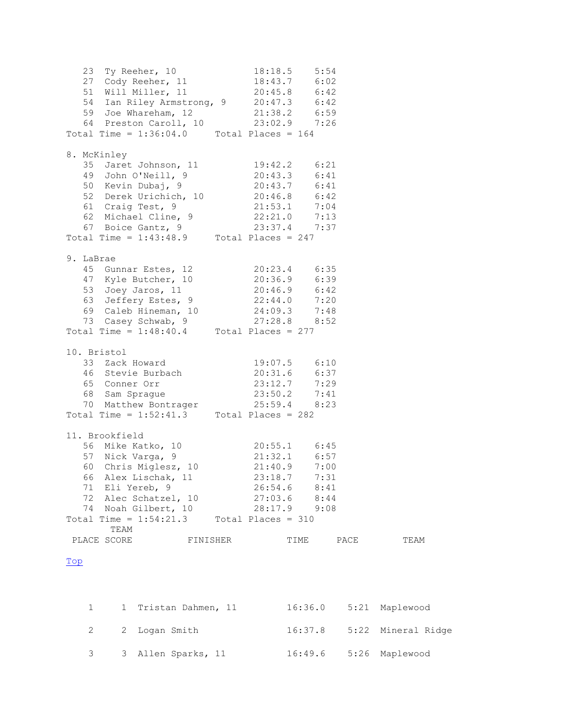23 Ty Reeher, 10 18:18.5 5:54 27 Cody Reeher, 11 18:43.7 6:02 51 Will Miller, 11 20:45.8 6:42 54 Ian Riley Armstrong, 9 20:47.3 6:42 59 Joe Whareham, 12 21:38.2 6:59 64 Preston Caroll, 10 23:02.9 7:26 Total Time =  $1:36:04.0$  Total Places =  $164$ 8. McKinley 35 Jaret Johnson, 11 19:42.2 6:21 49 John O'Neill, 9 20:43.3 6:41 50 Kevin Dubaj, 9 20:43.7 6:41 52 Derek Urichich, 10 20:46.8 6:42 61 Craig Test, 9 21:53.1 7:04 62 Michael Cline, 9 22:21.0 7:13 67 Boice Gantz, 9 23:37.4 7:37 Total Time =  $1:43:48.9$  Total Places =  $247$ 9. LaBrae 45 Gunnar Estes, 12 20:23.4 6:35 47 Kyle Butcher, 10 20:36.9 6:39 53 Joey Jaros, 11 20:46.9 6:42 63 Jeffery Estes, 9 22:44.0 7:20 69 Caleb Hineman, 10 24:09.3 7:48 73 Casey Schwab, 9 27:28.8 8:52 Total Time =  $1:48:40.4$  Total Places = 277 10. Bristol<br>33 Zack Howard<br>46 Stevie Burbach 33 Zack Howard 19:07.5 6:10 46 Stevie Burbach 20:31.6 6:37 65 Conner Orr 23:12.7 7:29 68 Sam Sprague 23:50.2 7:41 70 Matthew Bontrager 25:59.4 8:23 Total Time =  $1:52:41.3$  Total Places = 282 11. Brookfield 56 Mike Katko, 10 20:55.1 6:45 57 Nick Varga, 9 21:32.1 6:57 60 Chris Miglesz, 10 21:40.9 7:00 66 Alex Lischak, 11 23:18.7 7:31 71 Eli Yereb, 9 26:54.6 8:41 72 Alec Schatzel, 10 27:03.6 8:44 74 Noah Gilbert, 10 28:17.9 9:08 Total Time =  $1:54:21.3$  Total Places = 310 TEAM PLACE SCORE FINISHER TIME PACE TEAM Top

<span id="page-2-0"></span>

|  | 1 1 Tristan Dahmen, 11 | 16:36.0 5:21 Maplewood |                              |
|--|------------------------|------------------------|------------------------------|
|  | 2 2 Logan Smith        |                        | $16:37.8$ 5:22 Mineral Ridge |
|  | 3 3 Allen Sparks, 11   | 16:49.6 5:26 Maplewood |                              |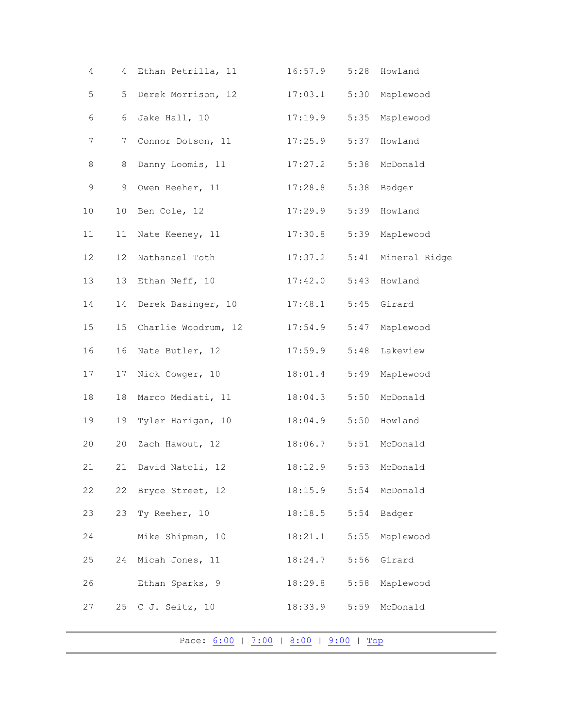| 4  | 4  | Ethan Petrilla, 11                    | 16:57.9 | 5:28 | Howland       |
|----|----|---------------------------------------|---------|------|---------------|
| 5  | 5  | Derek Morrison, 12                    | 17:03.1 | 5:30 | Maplewood     |
| 6  | 6  | Jake Hall, 10                         | 17:19.9 | 5:35 | Maplewood     |
| 7  | 7  | Connor Dotson, 11                     | 17:25.9 | 5:37 | Howland       |
| 8  | 8  | Danny Loomis, 11                      | 17:27.2 | 5:38 | McDonald      |
| 9  | 9  | Owen Reeher, 11                       | 17:28.8 | 5:38 | Badger        |
| 10 | 10 | Ben Cole, 12                          | 17:29.9 | 5:39 | Howland       |
| 11 | 11 | Nate Keeney, 11                       | 17:30.8 | 5:39 | Maplewood     |
| 12 | 12 | Nathanael Toth                        | 17:37.2 | 5:41 | Mineral Ridge |
| 13 | 13 | Ethan Neff, 10                        | 17:42.0 | 5:43 | Howland       |
| 14 | 14 | Derek Basinger, 10                    | 17:48.1 | 5:45 | Girard        |
| 15 | 15 | Charlie Woodrum, 12                   | 17:54.9 | 5:47 | Maplewood     |
| 16 | 16 | Nate Butler, 12                       | 17:59.9 | 5:48 | Lakeview      |
| 17 | 17 | Nick Cowger, 10                       | 18:01.4 | 5:49 | Maplewood     |
| 18 | 18 | Marco Mediati, 11                     | 18:04.3 | 5:50 | McDonald      |
| 19 | 19 | Tyler Harigan, 10                     | 18:04.9 | 5:50 | Howland       |
| 20 | 20 | Zach Hawout, 12                       | 18:06.7 | 5:51 | McDonald      |
| 21 | 21 | David Natoli, 12                      | 18:12.9 |      | 5:53 McDonald |
| 22 | 22 | Bryce Street, 12                      | 18:15.9 | 5:54 | McDonald      |
| 23 | 23 | Ty Reeher, 10                         | 18:18.5 | 5:54 | Badger        |
| 24 |    | Mike Shipman, 10                      | 18:21.1 | 5:55 | Maplewood     |
| 25 | 24 | Micah Jones, 11                       | 18:24.7 | 5:56 | Girard        |
| 26 |    | Ethan Sparks, 9                       | 18:29.8 | 5:58 | Maplewood     |
| 27 | 25 | C J. Seitz, 10                        | 18:33.9 | 5:59 | McDonald      |
|    |    | Pace: 6:00   7:00   8:00   9:00   Top |         |      |               |
|    |    |                                       |         |      |               |

<span id="page-3-0"></span>L,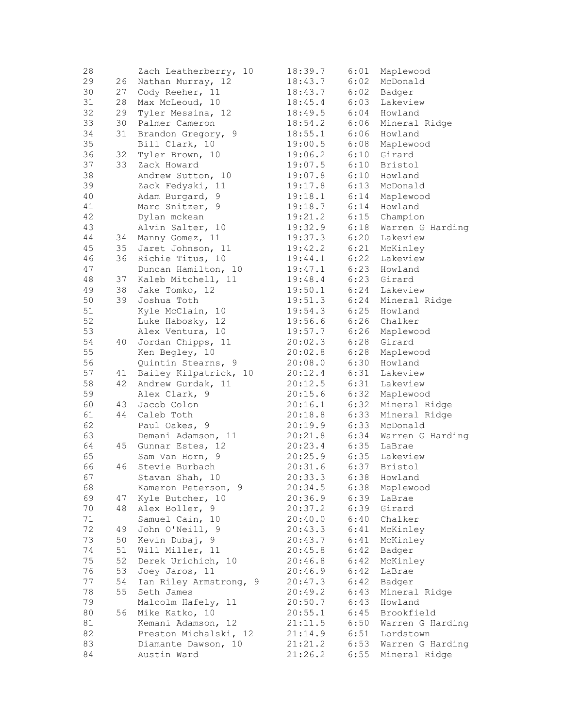| 28 |    | Zach Leatherberry, 10  | 18:39.7 | 6:01 | Maplewood        |
|----|----|------------------------|---------|------|------------------|
| 29 | 26 | Nathan Murray, 12      | 18:43.7 | 6:02 | McDonald         |
| 30 | 27 | Cody Reeher, 11        | 18:43.7 | 6:02 | Badger           |
| 31 | 28 | Max McLeoud, 10        | 18:45.4 | 6:03 | Lakeview         |
| 32 | 29 | Tyler Messina, 12      | 18:49.5 | 6:04 | Howland          |
| 33 | 30 | Palmer Cameron         | 18:54.2 | 6:06 | Mineral Ridge    |
| 34 | 31 | Brandon Gregory, 9     | 18:55.1 | 6:06 | Howland          |
| 35 |    | Bill Clark, 10         | 19:00.5 | 6:08 | Maplewood        |
| 36 | 32 | Tyler Brown, 10        | 19:06.2 | 6:10 | Girard           |
| 37 | 33 | Zack Howard            | 19:07.5 | 6:10 | Bristol          |
| 38 |    | Andrew Sutton, 10      | 19:07.8 | 6:10 | Howland          |
| 39 |    | Zack Fedyski, 11       | 19:17.8 | 6:13 | McDonald         |
| 40 |    | Adam Burgard, 9        | 19:18.1 | 6:14 | Maplewood        |
| 41 |    | Marc Snitzer, 9        | 19:18.7 | 6:14 | Howland          |
| 42 |    | Dylan mckean           | 19:21.2 | 6:15 | Champion         |
| 43 |    | Alvin Salter, 10       | 19:32.9 | 6:18 | Warren G Harding |
| 44 | 34 | Manny Gomez, 11        | 19:37.3 | 6:20 | Lakeview         |
| 45 |    | 35 Jaret Johnson, 11   | 19:42.2 | 6:21 | McKinley         |
| 46 |    | 36 Richie Titus, 10    | 19:44.1 | 6:22 | Lakeview         |
| 47 |    | Duncan Hamilton, 10    | 19:47.1 | 6:23 | Howland          |
| 48 | 37 | Kaleb Mitchell, 11     | 19:48.4 | 6:23 | Girard           |
| 49 |    | 38 Jake Tomko, 12      | 19:50.1 | 6:24 | Lakeview         |
| 50 | 39 | Joshua Toth            | 19:51.3 | 6:24 | Mineral Ridge    |
| 51 |    | Kyle McClain, 10       | 19:54.3 | 6:25 | Howland          |
| 52 |    | Luke Habosky, 12       | 19:56.6 | 6:26 | Chalker          |
| 53 |    | Alex Ventura, 10       | 19:57.7 | 6:26 | Maplewood        |
| 54 | 40 | Jordan Chipps, 11      | 20:02.3 | 6:28 | Girard           |
| 55 |    | Ken Begley, 10         | 20:02.8 | 6:28 | Maplewood        |
| 56 |    | Quintin Stearns, 9     | 20:08.0 | 6:30 | Howland          |
| 57 | 41 | Bailey Kilpatrick, 10  | 20:12.4 | 6:31 | Lakeview         |
| 58 | 42 | Andrew Gurdak, 11      | 20:12.5 | 6:31 | Lakeview         |
| 59 |    | Alex Clark, 9          | 20:15.6 | 6:32 | Maplewood        |
| 60 | 43 | Jacob Colon            | 20:16.1 | 6:32 | Mineral Ridge    |
| 61 | 44 | Caleb Toth             | 20:18.8 | 6:33 | Mineral Ridge    |
| 62 |    | Paul Oakes, 9          | 20:19.9 | 6:33 | McDonald         |
| 63 |    | Demani Adamson, 11     | 20:21.8 | 6:34 | Warren G Harding |
| 64 | 45 | Gunnar Estes, 12       | 20:23.4 | 6:35 | LaBrae           |
| 65 |    | Sam Van Horn, 9        | 20:25.9 | 6:35 | Lakeview         |
| 66 | 46 | Stevie Burbach         | 20:31.6 | 6:37 | Bristol          |
| 67 |    | Stavan Shah, 10        | 20:33.3 |      | 6:38 Howland     |
| 68 |    | Kameron Peterson, 9    | 20:34.5 | 6:38 | Maplewood        |
| 69 | 47 | Kyle Butcher, 10       | 20:36.9 | 6:39 | LaBrae           |
| 70 | 48 | Alex Boller, 9         | 20:37.2 | 6:39 | Girard           |
| 71 |    | Samuel Cain, 10        | 20:40.0 | 6:40 | Chalker          |
| 72 | 49 | John O'Neill, 9        | 20:43.3 | 6:41 | McKinley         |
| 73 | 50 | Kevin Dubaj, 9         | 20:43.7 | 6:41 | McKinley         |
| 74 | 51 | Will Miller, 11        | 20:45.8 | 6:42 | Badger           |
| 75 | 52 | Derek Urichich, 10     | 20:46.8 | 6:42 | McKinley         |
| 76 | 53 | Joey Jaros, 11         | 20:46.9 | 6:42 | LaBrae           |
| 77 | 54 | Ian Riley Armstrong, 9 | 20:47.3 | 6:42 | Badger           |
| 78 | 55 | Seth James             | 20:49.2 | 6:43 | Mineral Ridge    |
| 79 |    | Malcolm Hafely, 11     | 20:50.7 | 6:43 | Howland          |
| 80 | 56 | Mike Katko, 10         | 20:55.1 | 6:45 | Brookfield       |
| 81 |    | Kemani Adamson, 12     | 21:11.5 | 6:50 | Warren G Harding |
| 82 |    | Preston Michalski, 12  | 21:14.9 | 6:51 | Lordstown        |
| 83 |    | Diamante Dawson, 10    | 21:21.2 | 6:53 | Warren G Harding |
| 84 |    | Austin Ward            | 21:26.2 | 6:55 | Mineral Ridge    |
|    |    |                        |         |      |                  |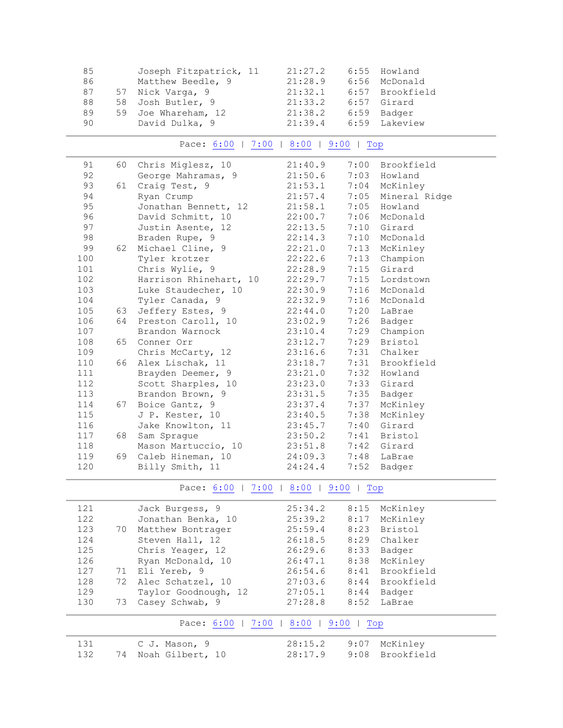| 85 |    | Joseph Fitzpatrick, 11 | 21:27.2 | 6:55 | Howland         |
|----|----|------------------------|---------|------|-----------------|
| 86 |    | Matthew Beedle, 9      | 21:28.9 |      | 6:56 McDonald   |
| 87 |    | 57 Nick Varga, 9       | 21:32.1 |      | 6:57 Brookfield |
| 88 |    | 58 Josh Butler, 9      | 21:33.2 | 6:57 | Girard          |
| 89 | 59 | Joe Whareham, 12       | 21:38.2 |      | 6:59 Badger     |
| 90 |    | David Dulka, 9         | 21:39.4 |      | 6:59 Lakeview   |
|    |    |                        |         |      |                 |

### Pace: [6:00](#page-3-0) | [7:00](#page-5-0) | [8:00](#page-5-1) | [9:00](#page-5-2) | Top

<span id="page-5-0"></span>

| 91  | 60   | Chris Miglesz, 10      | 21:40.9 |      | 7:00 Brookfield    |
|-----|------|------------------------|---------|------|--------------------|
| 92  |      | George Mahramas, 9     | 21:50.6 |      | 7:03 Howland       |
| 93  | 61   | Craig Test, 9          | 21:53.1 |      | 7:04 McKinley      |
| 94  |      | Ryan Crump             | 21:57.4 |      | 7:05 Mineral Ridge |
| 95  |      | Jonathan Bennett, 12   | 21:58.1 | 7:05 | Howland            |
| 96  |      | David Schmitt, 10      | 22:00.7 |      | 7:06 McDonald      |
| 97  |      | Justin Asente, 12      | 22:13.5 |      | 7:10 Girard        |
| 98  |      | Braden Rupe, 9         | 22:14.3 |      | 7:10 McDonald      |
| 99  | 62   | Michael Cline, 9       | 22:21.0 | 7:13 | McKinley           |
| 100 |      | Tyler krotzer          | 22:22.6 | 7:13 | Champion           |
| 101 |      | Chris Wylie, 9         | 22:28.9 |      | 7:15 Girard        |
| 102 |      | Harrison Rhinehart, 10 | 22:29.7 |      | 7:15 Lordstown     |
| 103 |      | Luke Staudecher, 10    | 22:30.9 |      | 7:16 McDonald      |
| 104 |      | Tyler Canada, 9        | 22:32.9 |      | 7:16 McDonald      |
| 105 | 63   | Jeffery Estes, 9       | 22:44.0 |      | 7:20 LaBrae        |
| 106 | 64   | Preston Caroll, 10     | 23:02.9 |      | 7:26 Badger        |
| 107 |      | Brandon Warnock        | 23:10.4 |      | 7:29 Champion      |
| 108 | 65   | Conner Orr             | 23:12.7 |      | 7:29 Bristol       |
| 109 |      | Chris McCarty, 12      | 23:16.6 |      | 7:31 Chalker       |
| 110 | 66 - | Alex Lischak, 11       | 23:18.7 |      | 7:31 Brookfield    |
| 111 |      | Brayden Deemer, 9      | 23:21.0 |      | 7:32 Howland       |
| 112 |      | Scott Sharples, 10     | 23:23.0 |      | 7:33 Girard        |
| 113 |      | Brandon Brown, 9       | 23:31.5 | 7:35 | Badger             |
| 114 | 67   | Boice Gantz, 9         | 23:37.4 | 7:37 | McKinley           |
| 115 |      | J P. Kester, 10        | 23:40.5 | 7:38 | McKinley           |
| 116 |      | Jake Knowlton, 11      | 23:45.7 |      | 7:40 Girard        |
| 117 | 68   | Sam Sprague            | 23:50.2 |      | 7:41 Bristol       |
| 118 |      | Mason Martuccio, 10    | 23:51.8 |      | 7:42 Girard        |
| 119 | 69   | Caleb Hineman, 10      | 24:09.3 |      | 7:48 LaBrae        |
| 120 |      | Billy Smith, 11        | 24:24.4 | 7:52 | Badger             |

Pace: [6:00](#page-3-0) | [7:00](#page-5-0) | [8:00](#page-5-1) | [9:00](#page-5-2) | Top

<span id="page-5-2"></span><span id="page-5-1"></span>

| 121 |    | Jack Burgess, 9        | 25:34.2 | 8:15 | McKinley        |
|-----|----|------------------------|---------|------|-----------------|
| 122 |    | Jonathan Benka, 10     | 25:39.2 | 8:17 | McKinley        |
| 123 | 70 | Matthew Bontrager      | 25:59.4 | 8:23 | Bristol         |
| 124 |    | Steven Hall, 12        | 26:18.5 | 8:29 | Chalker         |
| 125 |    | Chris Yeager, 12       | 26:29.6 | 8:33 | Badger          |
| 126 |    | Ryan McDonald, 10      | 26:47.1 | 8:38 | McKinley        |
| 127 |    | 71 Eli Yereb, 9        | 26:54.6 |      | 8:41 Brookfield |
| 128 | 72 | Alec Schatzel, 10      | 27:03.6 |      | 8:44 Brookfield |
| 129 |    | Taylor Goodnough, 12   | 27:05.1 | 8:44 | Badger          |
| 130 | 73 | Casey Schwab, 9        | 27:28.8 | 8:52 | LaBrae          |
|     |    | Pace: 6:00  <br>$7:00$ | 8:00    | 9:00 | Top             |
| 131 |    | C J. Mason, 9          | 28:15.2 | 9:07 | McKinley        |
| 132 | 74 | Noah Gilbert, 10       | 28:17.9 | 9:08 | Brookfield      |